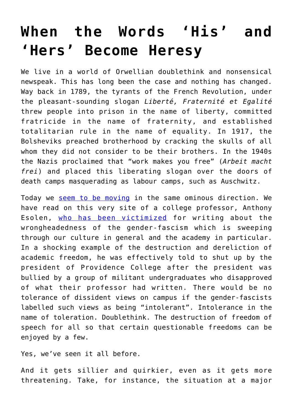## **[When the Words 'His' and](https://intellectualtakeout.org/2016/12/when-the-words-his-and-hers-become-heresy/) ['Hers' Become Heresy](https://intellectualtakeout.org/2016/12/when-the-words-his-and-hers-become-heresy/)**

We live in a world of Orwellian doublethink and nonsensical newspeak. This has long been the case and nothing has changed. Way back in 1789, the tyrants of the French Revolution, under the pleasant-sounding slogan *Liberté, Fraternité et Egalité* threw people into prison in the name of liberty, committed fratricide in the name of fraternity, and established totalitarian rule in the name of equality. In 1917, the Bolsheviks preached brotherhood by cracking the skulls of all whom they did not consider to be their brothers. In the 1940s the Nazis proclaimed that "work makes you free" (*Arbeit macht frei*) and placed this liberating slogan over the doors of death camps masquerading as labour camps, such as Auschwitz.

Today we [seem to be moving](https://www.intellectualtakeout.org/blog/political-correctness-word-police-want-more-your-words) in the same ominous direction. We have read on this very site of a college professor, Anthony Esolen, [who has been victimized](https://www.intellectualtakeout.org/blog/students-want-prof-fired-questioning-diversity) for writing about the wrongheadedness of the gender-fascism which is sweeping through our culture in general and the academy in particular. In a shocking example of the destruction and dereliction of academic freedom, he was effectively told to shut up by the president of Providence College after the president was bullied by a group of militant undergraduates who disapproved of what their professor had written. There would be no tolerance of dissident views on campus if the gender-fascists labelled such views as being "intolerant". Intolerance in the name of toleration. Doublethink. The destruction of freedom of speech for all so that certain questionable freedoms can be enjoyed by a few.

Yes, we've seen it all before.

And it gets sillier and quirkier, even as it gets more threatening. Take, for instance, the situation at a major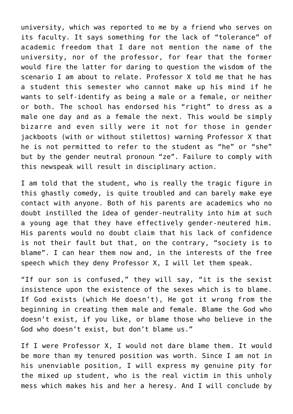university, which was reported to me by a friend who serves on its faculty. It says something for the lack of "tolerance" of academic freedom that I dare not mention the name of the university, nor of the professor, for fear that the former would fire the latter for daring to question the wisdom of the scenario I am about to relate. Professor X told me that he has a student this semester who cannot make up his mind if he wants to self-identify as being a male or a female, or neither or both. The school has endorsed his "right" to dress as a male one day and as a female the next. This would be simply bizarre and even silly were it not for those in gender jackboots (with or without stilettos) warning Professor X that he is not permitted to refer to the student as "he" or "she" but by the gender neutral pronoun "ze". Failure to comply with this newspeak will result in disciplinary action.

I am told that the student, who is really the tragic figure in this ghastly comedy, is quite troubled and can barely make eye contact with anyone. Both of his parents are academics who no doubt instilled the idea of gender-neutrality into him at such a young age that they have effectively gender-neutered him. His parents would no doubt claim that his lack of confidence is not their fault but that, on the contrary, "society is to blame". I can hear them now and, in the interests of the free speech which they deny Professor X, I will let them speak.

"If our son is confused," they will say, "it is the sexist insistence upon the existence of the sexes which is to blame. If God exists (which He doesn't), He got it wrong from the beginning in creating them male and female. Blame the God who doesn't exist, if you like, or blame those who believe in the God who doesn't exist, but don't blame us."

If I were Professor X, I would not dare blame them. It would be more than my tenured position was worth. Since I am not in his unenviable position, I will express my genuine pity for the mixed up student, who is the real victim in this unholy mess which makes his and her a heresy. And I will conclude by